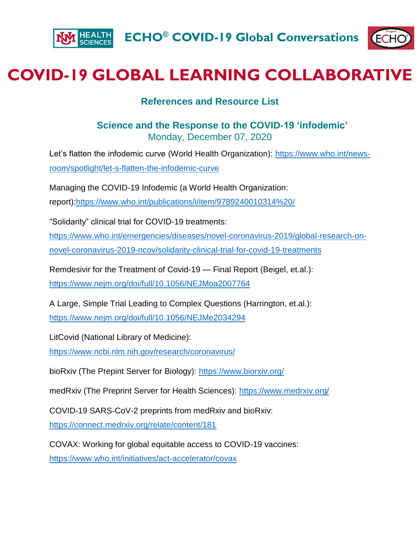



## **COVID-19 GLOBAL LEARNING COLLABORATIVE**

## **References and Resource List**

## **Science and the Response to the COVID-19 'infodemic'** Monday, December 07, 2020

Let's flatten the infodemic curve (World Health Organization): [https://www.who.int/news](https://www.who.int/news-room/spotlight/let-s-flatten-the-infodemic-curve)[room/spotlight/let-s-flatten-the-infodemic-curve](https://www.who.int/news-room/spotlight/let-s-flatten-the-infodemic-curve)

Managing the COVID-19 Infodemic (a World Health Organization: report)[:https://www.who.int/publications/i/item/9789240010314%20/](https://www.who.int/publications/i/item/9789240010314%20/)

"Solidarity" clinical trial for COVID-19 treatments:

[https://www.who.int/emergencies/diseases/novel-coronavirus-2019/global-research-on-](https://www.who.int/emergencies/diseases/novel-coronavirus-2019/global-research-on-novel-coronavirus-2019-ncov/solidarity-clinical-trial-for-covid-19-treatments)

[novel-coronavirus-2019-ncov/solidarity-clinical-trial-for-covid-19-treatments](https://www.who.int/emergencies/diseases/novel-coronavirus-2019/global-research-on-novel-coronavirus-2019-ncov/solidarity-clinical-trial-for-covid-19-treatments)

Remdesivir for the Treatment of Covid-19 — Final Report (Beigel, et.al.): <https://www.nejm.org/doi/full/10.1056/NEJMoa2007764>

A Large, Simple Trial Leading to Complex Questions (Harrington, et.al.): <https://www.nejm.org/doi/full/10.1056/NEJMe2034294>

LitCovid (National Library of Medicine):

<https://www.ncbi.nlm.nih.gov/research/coronavirus/>

bioRxiv (The Prepint Server for Biology): <https://www.biorxiv.org/>

medRxiv (The Preprint Server for Health Sciences): <https://www.medrxiv.org/>

COVID-19 SARS-CoV-2 preprints from medRxiv and bioRxiv:

<https://connect.medrxiv.org/relate/content/181>

COVAX: Working for global equitable access to COVID-19 vaccines: <https://www.who.int/initiatives/act-accelerator/covax>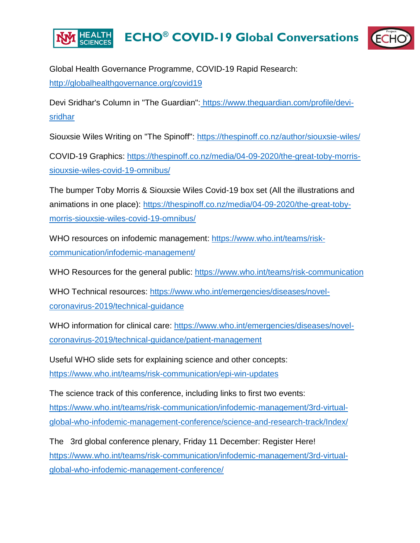

Global Health Governance Programme, COVID-19 Rapid Research: <http://globalhealthgovernance.org/covid19>

Devi Sridhar's Column in "The Guardian": [https://www.theguardian.com/profile/devi](https://www.theguardian.com/profile/devi-sridhar)[sridhar](https://www.theguardian.com/profile/devi-sridhar)

Siouxsie Wiles Writing on "The Spinoff": <https://thespinoff.co.nz/author/siouxsie-wiles/>

COVID-19 Graphics: [https://thespinoff.co.nz/media/04-09-2020/the-great-toby-morris](https://thespinoff.co.nz/media/04-09-2020/the-great-toby-morris-siouxsie-wiles-covid-19-omnibus/)[siouxsie-wiles-covid-19-omnibus/](https://thespinoff.co.nz/media/04-09-2020/the-great-toby-morris-siouxsie-wiles-covid-19-omnibus/)

The bumper Toby Morris & Siouxsie Wiles Covid-19 box set (All the illustrations and animations in one place): [https://thespinoff.co.nz/media/04-09-2020/the-great-toby](https://thespinoff.co.nz/media/04-09-2020/the-great-toby-morris-siouxsie-wiles-covid-19-omnibus/)[morris-siouxsie-wiles-covid-19-omnibus/](https://thespinoff.co.nz/media/04-09-2020/the-great-toby-morris-siouxsie-wiles-covid-19-omnibus/)

WHO resources on infodemic management: [https://www.who.int/teams/risk](https://www.who.int/teams/risk-communication/infodemic-management/)[communication/infodemic-management/](https://www.who.int/teams/risk-communication/infodemic-management/)

WHO Resources for the general public:<https://www.who.int/teams/risk-communication>

WHO Technical resources: [https://www.who.int/emergencies/diseases/novel](https://www.who.int/emergencies/diseases/novel-coronavirus-2019/technical-guidance)[coronavirus-2019/technical-guidance](https://www.who.int/emergencies/diseases/novel-coronavirus-2019/technical-guidance)

WHO information for clinical care: [https://www.who.int/emergencies/diseases/novel](https://www.who.int/emergencies/diseases/novel-coronavirus-2019/technical-guidance/patient-management)[coronavirus-2019/technical-guidance/patient-management](https://www.who.int/emergencies/diseases/novel-coronavirus-2019/technical-guidance/patient-management)

Useful WHO slide sets for explaining science and other concepts: <https://www.who.int/teams/risk-communication/epi-win-updates>

The science track of this conference, including links to first two events: [https://www.who.int/teams/risk-communication/infodemic-management/3rd-virtual](https://www.who.int/teams/risk-communication/infodemic-management/3rd-virtual-global-who-infodemic-management-conference/science-and-research-track/Index/)[global-who-infodemic-management-conference/science-and-research-track/Index/](https://www.who.int/teams/risk-communication/infodemic-management/3rd-virtual-global-who-infodemic-management-conference/science-and-research-track/Index/)

The 3rd global conference plenary, Friday 11 December: Register Here! [https://www.who.int/teams/risk-communication/infodemic-management/3rd-virtual](https://www.who.int/teams/risk-communication/infodemic-management/3rd-virtual-global-who-infodemic-management-conference/)[global-who-infodemic-management-conference/](https://www.who.int/teams/risk-communication/infodemic-management/3rd-virtual-global-who-infodemic-management-conference/)